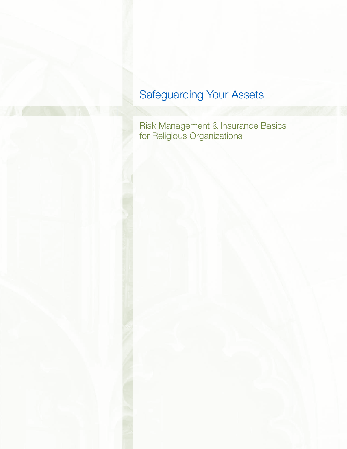# Safeguarding Your Assets

Risk Management & Insurance Basics for Religious Organizations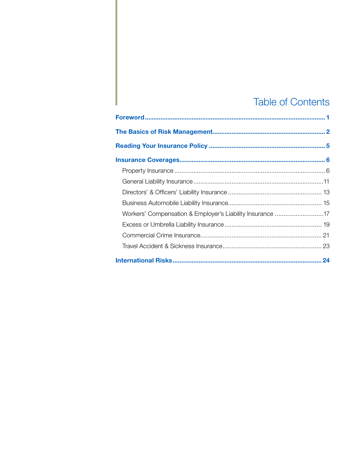# **Table of Contents**

| Workers' Compensation & Employer's Liability Insurance 17 |  |
|-----------------------------------------------------------|--|
|                                                           |  |
|                                                           |  |
|                                                           |  |
|                                                           |  |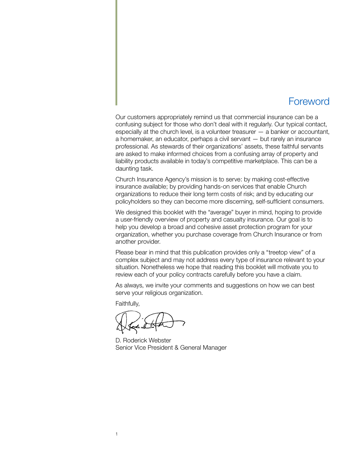## Foreword

Our customers appropriately remind us that commercial insurance can be a confusing subject for those who don't deal with it regularly. Our typical contact, especially at the church level, is a volunteer treasurer — a banker or accountant, a homemaker, an educator, perhaps a civil servant — but rarely an insurance professional. As stewards of their organizations' assets, these faithful servants are asked to make informed choices from a confusing array of property and liability products available in today's competitive marketplace. This can be a daunting task.

Church Insurance Agency's mission is to serve: by making cost-effective insurance available; by providing hands-on services that enable Church organizations to reduce their long term costs of risk; and by educating our policyholders so they can become more discerning, self-sufficient consumers.

We designed this booklet with the "average" buyer in mind, hoping to provide a user-friendly overview of property and casualty insurance. Our goal is to help you develop a broad and cohesive asset protection program for your organization, whether you purchase coverage from Church Insurance or from another provider.

Please bear in mind that this publication provides only a "treetop view" of a complex subject and may not address every type of insurance relevant to your situation. Nonetheless we hope that reading this booklet will motivate you to review each of your policy contracts carefully before you have a claim.

As always, we invite your comments and suggestions on how we can best serve your religious organization.

Faithfully,

D. Roderick Webster Senior Vice President & General Manager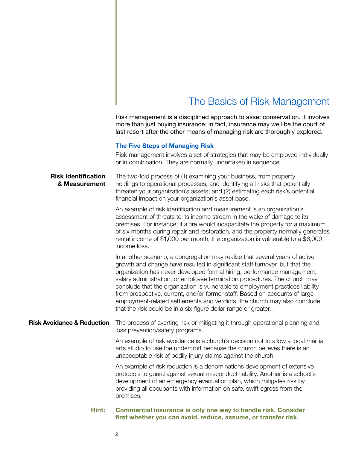## The Basics of Risk Management

Risk management is a disciplined approach to asset conservation. It involves more than just buying insurance; in fact, insurance may well be the court of last resort after the other means of managing risk are thoroughly explored.

### **The Five Steps of Managing Risk**

Risk management involves a set of strategies that may be employed individually or in combination. They are normally undertaken in sequence.

**Risk Identification** The two-fold process of (1) examining your business, from property **& Measurement** holdings to operational processes, and identifying all risks that potentially threaten your organization's assets; and (2) estimating each risk's potential financial impact on your organization's asset base.

> An example of risk identification and measurement is an organization's assessment of threats to its income stream in the wake of damage to its premises. For instance, if a fire would incapacitate the property for a maximum of six months during repair and restoration, and the property normally generates rental income of \$1,000 per month, the organization is vulnerable to a \$6,000 income loss.

In another scenario, a congregation may realize that several years of active growth and change have resulted in significant staff turnover, but that the organization has never developed formal hiring, performance management, salary administration, or employee termination procedures. The church may conclude that the organization is vulnerable to employment practices liability from prospective, current, and/or former staff. Based on accounts of large employment-related settlements and verdicts, the church may also conclude that the risk could be in a six-figure dollar range or greater.

**Risk Avoidance & Reduction** The process of averting risk or mitigating it through operational planning and loss prevention/safety programs.

> An example of risk avoidance is a church's decision not to allow a local martial arts studio to use the undercroft because the church believes there is an unacceptable risk of bodily injury claims against the church.

An example of risk reduction is a denominations development of extensive protocols to guard against sexual misconduct liability. Another is a school's development of an emergency evacuation plan, which mitigates risk by providing all occupants with information on safe, swift egress from the premises.

## **Hint: Commercial insurance is only one way to handle risk. Consider first whether you can avoid, reduce, assume, or transfer risk.**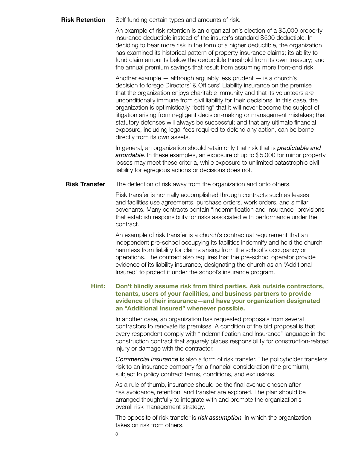**Risk Retention** Self-funding certain types and amounts of risk.

An example of risk retention is an organization's election of a \$5,000 property insurance deductible instead of the insurer's standard \$500 deductible. In deciding to bear more risk in the form of a higher deductible, the organization has examined its historical pattern of property insurance claims; its ability to fund claim amounts below the deductible threshold from its own treasury; and the annual premium savings that result from assuming more front-end risk.

Another example  $-$  although arguably less prudent  $-$  is a church's decision to forego Directors' & Officers' Liability insurance on the premise that the organization enjoys charitable immunity and that its volunteers are unconditionally immune from civil liability for their decisions. In this case, the organization is optimistically "betting" that it will never become the subject of litigation arising from negligent decision-making or management mistakes; that statutory defenses will always be successful; and that any ultimate financial exposure, including legal fees required to defend any action, can be borne directly from its own assets.

In general, an organization should retain only that risk that is *predictable and affordable*. In these examples, an exposure of up to \$5,000 for minor property losses may meet these criteria, while exposure to unlimited catastrophic civil liability for egregious actions or decisions does not.

**Risk Transfer** The deflection of risk away from the organization and onto others.

Risk transfer is normally accomplished through contracts such as leases and facilities use agreements, purchase orders, work orders, and similar covenants. Many contracts contain "Indemnification and Insurance" provisions that establish responsibility for risks associated with performance under the contract.

An example of risk transfer is a church's contractual requirement that an independent pre-school occupying its facilities indemnify and hold the church harmless from liability for claims arising from the school's occupancy or operations. The contract also requires that the pre-school operator provide evidence of its liability insurance, designating the church as an "Additional Insured" to protect it under the school's insurance program.

**Hint: Don't blindly assume risk from third parties. Ask outside contractors, tenants, users of your facilities, and business partners to provide evidence of their insurance—and have your organization designated an "Additional Insured" whenever possible.**

> In another case, an organization has requested proposals from several contractors to renovate its premises. A condition of the bid proposal is that every respondent comply with "Indemnification and Insurance" language in the construction contract that squarely places responsibility for construction-related injury or damage with the contractor.

> *Commercial insurance* is also a form of risk transfer. The policyholder transfers risk to an insurance company for a financial consideration (the premium), subject to policy contract terms, conditions, and exclusions.

As a rule of thumb, insurance should be the final avenue chosen after risk avoidance, retention, and transfer are explored. The plan should be arranged thoughtfully to integrate with and promote the organization's overall risk management strategy.

The opposite of risk transfer is *risk assumption*, in which the organization takes on risk from others.

3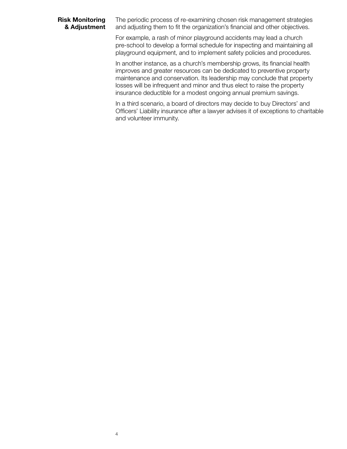**Risk Monitoring** The periodic process of re-examining chosen risk management strategies **& Adjustment** and adjusting them to fit the organization's financial and other objectives.

> For example, a rash of minor playground accidents may lead a church pre-school to develop a formal schedule for inspecting and maintaining all playground equipment, and to implement safety policies and procedures.

> In another instance, as a church's membership grows, its financial health improves and greater resources can be dedicated to preventive property maintenance and conservation. Its leadership may conclude that property losses will be infrequent and minor and thus elect to raise the property insurance deductible for a modest ongoing annual premium savings.

In a third scenario, a board of directors may decide to buy Directors' and Officers' Liability insurance after a lawyer advises it of exceptions to charitable and volunteer immunity.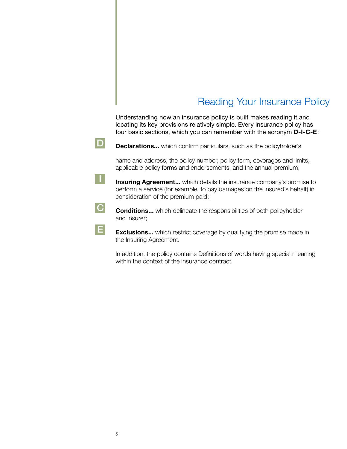# Reading Your Insurance Policy

Understanding how an insurance policy is built makes reading it and locating its key provisions relatively simple. Every insurance policy has four basic sections, which you can remember with the acronym **D-I-C-E**:



**D Declarations...** which confirm particulars, such as the policyholder's

name and address, the policy number, policy term, coverages and limits, applicable policy forms and endorsements, and the annual premium;

**I** Insuring Agreement... which details the insurance company's promise to perform a service (for example, to pay damages on the Insured's behalf) in consideration of the premium paid;

**C Conditions...** which delineate the responsibilities of both policyholder and insurer;

**E** Exclusions... which restrict coverage by qualifying the promise made in the Insuring Agreement.

In addition, the policy contains Definitions of words having special meaning within the context of the insurance contract.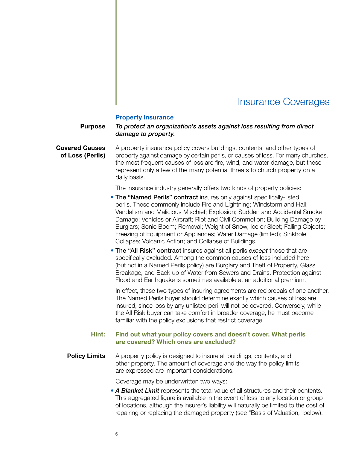## Insurance Coverages

#### **Property Insurance**

## **Purpose** *To protect an organization's assets against loss resulting from direct damage to property.*

**Covered Causes** A property insurance policy covers buildings, contents, and other types of **of Loss (Perils)** property against damage by certain perils, or causes of loss. For many churches, the most frequent causes of loss are fire, wind, and water damage, but these represent only a few of the many potential threats to church property on a daily basis.

The insurance industry generally offers two kinds of property policies:

- The "Named Perils" contract insures only against specifically-listed perils. These commonly include Fire and Lightning; Windstorm and Hail; Vandalism and Malicious Mischief; Explosion; Sudden and Accidental Smoke Damage; Vehicles or Aircraft; Riot and Civil Commotion; Building Damage by Burglars; Sonic Boom; Removal; Weight of Snow, Ice or Sleet; Falling Objects; Freezing of Equipment or Appliances; Water Damage (limited); Sinkhole Collapse; Volcanic Action; and Collapse of Buildings.
- The "All Risk" contract insures against all perils *except* those that are specifically excluded. Among the common causes of loss included here (but not in a Named Perils policy) are Burglary and Theft of Property, Glass Breakage, and Back-up of Water from Sewers and Drains. Protection against Flood and Earthquake is sometimes available at an additional premium.

In effect, these two types of insuring agreements are reciprocals of one another. The Named Perils buyer should determine exactly which causes of loss are insured, since loss by any unlisted peril will not be covered. Conversely, while the All Risk buyer can take comfort in broader coverage, he must become familiar with the policy exclusions that restrict coverage.

## **Hint: Find out what your policy covers and doesn't cover. What perils are covered? Which ones are excluded?**

**Policy Limits** A property policy is designed to insure all buildings, contents, and other property. The amount of coverage and the way the policy limits are expressed are important considerations.

Coverage may be underwritten two ways:

• *A Blanket Limit* represents the total value of all structures and their contents. This aggregated figure is available in the event of loss to any location or group of locations, although the insurer's liability will naturally be limited to the cost of repairing or replacing the damaged property (see "Basis of Valuation," below).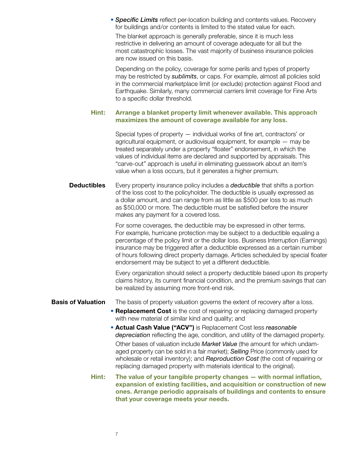• *Specific Limits* reflect per-location building and contents values. Recovery for buildings and/or contents is limited to the stated value for each.

The blanket approach is generally preferable, since it is much less restrictive in delivering an amount of coverage adequate for all but the most catastrophic losses. The vast majority of business insurance policies are now issued on this basis.

Depending on the policy, coverage for some perils and types of property may be restricted by *sublimits*, or caps. For example, almost all policies sold in the commercial marketplace limit (or exclude) protection against Flood and Earthquake. Similarly, many commercial carriers limit coverage for Fine Arts to a specific dollar threshold.

## **Hint: Arrange a blanket property limit whenever available. This approach maximizes the amount of coverage available for any loss.**

Special types of property — individual works of fine art, contractors' or agricultural equipment, or audiovisual equipment, for example — may be treated separately under a property "floater" endorsement, in which the values of individual items are declared and supported by appraisals. This "carve-out" approach is useful in eliminating guesswork about an item's value when a loss occurs, but it generates a higher premium.

**Deductibles** Every property insurance policy includes a *deductible* that shifts a portion of the loss cost to the policyholder. The deductible is usually expressed as a dollar amount, and can range from as little as \$500 per loss to as much as \$50,000 or more. The deductible must be satisfied before the insurer makes any payment for a covered loss.

> For some coverages, the deductible may be expressed in other terms. For example, hurricane protection may be subject to a deductible equaling a percentage of the policy limit or the dollar loss. Business Interruption (Earnings) insurance may be triggered after a deductible expressed as a certain number of hours following direct property damage. Articles scheduled by special floater endorsement may be subject to yet a different deductible.

> Every organization should select a property deductible based upon its property claims history, its current financial condition, and the premium savings that can be realized by assuming more front-end risk.

## **Basis of Valuation** The basis of property valuation governs the extent of recovery after a loss.

- **Replacement Cost** is the cost of repairing or replacing damaged property with new material of similar kind and quality; and
- **Actual Cash Value ("ACV")** is Replacement Cost less *reasonable depreciation* reflecting the age, condition, and utility of the damaged property. Other bases of valuation include *Market Value* (the amount for which undamaged property can be sold in a fair market); *Selling* Price (commonly used for wholesale or retail inventory); and *Reproduction Cost* (the cost of repairing or replacing damaged property with materials identical to the original).
- **Hint: The value of your tangible property changes with normal inflation, expansion of existing facilities, and acquisition or construction of new ones. Arrange periodic appraisals of buildings and contents to ensure that your coverage meets your needs.**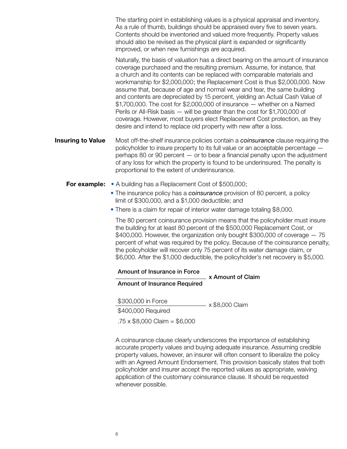The starting point in establishing values is a physical appraisal and inventory. As a rule of thumb, buildings should be appraised every five to seven years. Contents should be inventoried and valued more frequently. Property values should also be revised as the physical plant is expanded or significantly improved, or when new furnishings are acquired.

Naturally, the basis of valuation has a direct bearing on the amount of insurance coverage purchased and the resulting premium. Assume, for instance, that a church and its contents can be replaced with comparable materials and workmanship for \$2,000,000; the Replacement Cost is thus \$2,000,000. Now assume that, because of age and normal wear and tear, the same building and contents are depreciated by 15 percent, yielding an Actual Cash Value of  $$1,700,000$ . The cost for  $$2,000,000$  of insurance  $-$  whether on a Named Perils or All-Risk basis — will be greater than the cost for \$1,700,000 of coverage. However, most buyers elect Replacement Cost protection, as they desire and intend to replace old property with new after a loss.

**Insuring to Value** Most off-the-shelf insurance policies contain a *coinsurance* clause requiring the policyholder to insure property to its full value or an acceptable percentage perhaps 80 or 90 percent — or to bear a financial penalty upon the adjustment of any loss for which the property is found to be underinsured. The penalty is proportional to the extent of underinsurance.

- **For example:** A building has a Replacement Cost of \$500,000;
	- The insurance policy has a *coinsurance* provision of 80 percent, a policy limit of \$300,000, and a \$1,000 deductible; and
	- There is a claim for repair of interior water damage totaling \$8,000.

The 80 percent coinsurance provision means that the policyholder must insure the building for at least 80 percent of the \$500,000 Replacement Cost, or  $$400,000$ . However, the organization only bought \$300,000 of coverage  $-75$ percent of what was required by the policy. Because of the coinsurance penalty, the policyholder will recover only 75 percent of its water damage claim, or \$6,000. After the \$1,000 deductible, the policyholder's net recovery is \$5,000.

### Amount of Insurance in Force

x Amount of Claim

Amount of Insurance Required

\$300,000 in Force<br>\$400,000 Required x \$8,000 Claim  $.75 \times$  \$8,000 Claim = \$6,000

A coinsurance clause clearly underscores the importance of establishing accurate property values and buying adequate insurance. Assuming credible property values, however, an insurer will often consent to liberalize the policy with an Agreed Amount Endorsement. This provision basically states that both policyholder and insurer accept the reported values as appropriate, waiving application of the customary coinsurance clause. It should be requested whenever possible.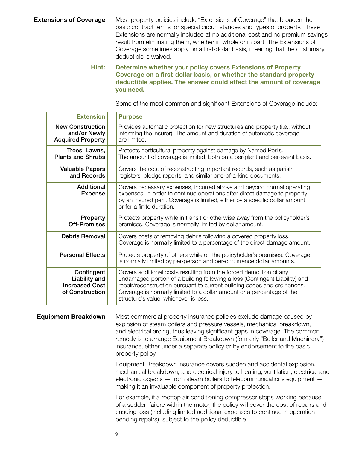**Extensions of Coverage** Most property policies include "Extensions of Coverage" that broaden the basic contract terms for special circumstances and types of property. These Extensions are normally included at no additional cost and no premium savings result from eliminating them, whether in whole or in part. The Extensions of Coverage sometimes apply on a first-dollar basis, meaning that the customary deductible is waived.

## **Hint: Determine whether your policy covers Extensions of Property Coverage on a first-dollar basis, or whether the standard property deductible applies. The answer could affect the amount of coverage you need.**

Some of the most common and significant Extensions of Coverage include:

|                            | <b>Extension</b>                                                        | <b>Purpose</b>                                                                                                                                                                                                                                                                                                                                                                                               |
|----------------------------|-------------------------------------------------------------------------|--------------------------------------------------------------------------------------------------------------------------------------------------------------------------------------------------------------------------------------------------------------------------------------------------------------------------------------------------------------------------------------------------------------|
|                            | <b>New Construction</b><br>and/or Newly<br><b>Acquired Property</b>     | Provides automatic protection for new structures and property (i.e., without<br>informing the insurer). The amount and duration of automatic coverage<br>are limited.                                                                                                                                                                                                                                        |
|                            | Trees, Lawns,<br><b>Plants and Shrubs</b>                               | Protects horticultural property against damage by Named Perils.<br>The amount of coverage is limited, both on a per-plant and per-event basis.                                                                                                                                                                                                                                                               |
|                            | <b>Valuable Papers</b><br>and Records                                   | Covers the cost of reconstructing important records, such as parish<br>registers, pledge reports, and similar one-of-a-kind documents.                                                                                                                                                                                                                                                                       |
|                            | Additional<br><b>Expense</b>                                            | Covers necessary expenses, incurred above and beyond normal operating<br>expenses, in order to continue operations after direct damage to property<br>by an insured peril. Coverage is limited, either by a specific dollar amount<br>or for a finite duration.                                                                                                                                              |
|                            | Property<br><b>Off-Premises</b>                                         | Protects property while in transit or otherwise away from the policyholder's<br>premises. Coverage is normally limited by dollar amount.                                                                                                                                                                                                                                                                     |
|                            | <b>Debris Removal</b>                                                   | Covers costs of removing debris following a covered property loss.<br>Coverage is normally limited to a percentage of the direct damage amount.                                                                                                                                                                                                                                                              |
|                            | <b>Personal Effects</b>                                                 | Protects property of others while on the policyholder's premises. Coverage<br>is normally limited by per-person and per-occurrence dollar amounts.                                                                                                                                                                                                                                                           |
|                            | Contingent<br>Liability and<br><b>Increased Cost</b><br>of Construction | Covers additional costs resulting from the forced demolition of any<br>undamaged portion of a building following a loss (Contingent Liability) and<br>repair/reconstruction pursuant to current building codes and ordinances.<br>Coverage is normally limited to a dollar amount or a percentage of the<br>structure's value, whichever is less.                                                            |
| <b>Equipment Breakdown</b> |                                                                         | Most commercial property insurance policies exclude damage caused by<br>explosion of steam boilers and pressure vessels, mechanical breakdown,<br>and electrical arcing, thus leaving significant gaps in coverage. The common<br>remedy is to arrange Equipment Breakdown (formerly "Boiler and Machinery")<br>insurance, either under a separate policy or by endorsement to the basic<br>property policy. |
|                            |                                                                         | Equipment Breakdown insurance covers sudden and accidental explosion,<br>mechanical breakdown, and electrical injury to heating, ventilation, electrical and<br>electronic objects - from steam boilers to telecommunications equipment -<br>making it an invaluable component of property protection.                                                                                                       |
|                            |                                                                         | For example if a roofton air conditioning compressor stops working because                                                                                                                                                                                                                                                                                                                                   |

For example, if a rooftop air conditioning compressor stops working because of a sudden failure within the motor, the policy will cover the cost of repairs and ensuing loss (including limited additional expenses to continue in operation pending repairs), subject to the policy deductible.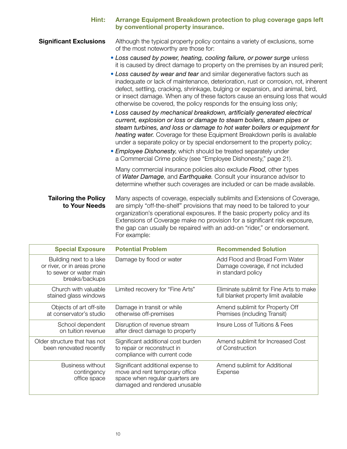| Hint:                                        | Arrange Equipment Breakdown protection to plug coverage gaps left<br>by conventional property insurance.                                                                                                                                                                                                                                                                                                |
|----------------------------------------------|---------------------------------------------------------------------------------------------------------------------------------------------------------------------------------------------------------------------------------------------------------------------------------------------------------------------------------------------------------------------------------------------------------|
| <b>Significant Exclusions</b>                | Although the typical property policy contains a variety of exclusions, some<br>of the most noteworthy are those for:                                                                                                                                                                                                                                                                                    |
|                                              | • Loss caused by power, heating, cooling failure, or power surge unless<br>it is caused by direct damage to property on the premises by an insured peril;                                                                                                                                                                                                                                               |
|                                              | • Loss caused by wear and tear and similar degenerative factors such as<br>inadequate or lack of maintenance, deterioration, rust or corrosion, rot, inherent<br>defect, settling, cracking, shrinkage, bulging or expansion, and animal, bird,<br>or insect damage. When any of these factors cause an ensuing loss that would<br>otherwise be covered, the policy responds for the ensuing loss only; |
|                                              | • Loss caused by mechanical breakdown, artificially generated electrical<br>current, explosion or loss or damage to steam boilers, steam pipes or<br>steam turbines, and loss or damage to hot water boilers or equipment for<br>heating water. Coverage for these Equipment Breakdown perils is available<br>under a separate policy or by special endorsement to the property policy;                 |
|                                              | • Employee Dishonesty, which should be treated separately under<br>a Commercial Crime policy (see "Employee Dishonesty," page 21).                                                                                                                                                                                                                                                                      |
|                                              | Many commercial insurance policies also exclude <b>Flood</b> , other types<br>of Water Damage, and Earthquake. Consult your insurance advisor to<br>determine whether such coverages are included or can be made available.                                                                                                                                                                             |
| <b>Tailoring the Policy</b><br>to Your Needs | Many aspects of coverage, especially sublimits and Extensions of Coverage,<br>are simply "off-the-shelf" provisions that may need to be tailored to your                                                                                                                                                                                                                                                |

**to Your Needs** are simply "off-the-shelf" provisions that may need to be tailored to your organization's operational exposures. If the basic property policy and its Extensions of Coverage make no provision for a significant risk exposure, the gap can usually be repaired with an add-on "rider," or endorsement. For example:

| <b>Special Exposure</b>                                                                            | <b>Potential Problem</b>                                                                                                                | <b>Recommended Solution</b>                                                              |
|----------------------------------------------------------------------------------------------------|-----------------------------------------------------------------------------------------------------------------------------------------|------------------------------------------------------------------------------------------|
| Building next to a lake<br>or river, or in areas prone<br>to sewer or water main<br>breaks/backups | Damage by flood or water                                                                                                                | Add Flood and Broad Form Water<br>Damage coverage, if not included<br>in standard policy |
| Church with valuable<br>stained glass windows                                                      | Limited recovery for "Fine Arts"                                                                                                        | Eliminate sublimit for Fine Arts to make<br>full blanket property limit available        |
| Objects of art off-site<br>at conservator's studio                                                 | Damage in transit or while<br>otherwise off-premises                                                                                    | Amend sublimit for Property Off<br>Premises (including Transit)                          |
| School dependent<br>on tuition revenue                                                             | Disruption of revenue stream<br>after direct damage to property                                                                         | Insure Loss of Tuitions & Fees                                                           |
| Older structure that has not<br>been renovated recently                                            | Significant additional cost burden<br>to repair or reconstruct in<br>compliance with current code                                       | Amend sublimit for Increased Cost<br>of Construction                                     |
| Business without<br>contingency<br>office space                                                    | Significant additional expense to<br>move and rent temporary office<br>space when regular quarters are<br>damaged and rendered unusable | Amend sublimit for Additional<br>Expense                                                 |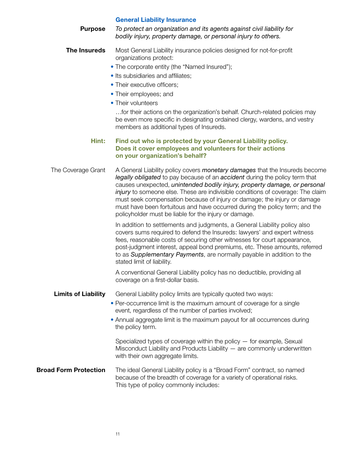|                              | <b>General Liability Insurance</b>                                                                                                                                                                                                                                                                                                                                                                                                                                                                                                                    |
|------------------------------|-------------------------------------------------------------------------------------------------------------------------------------------------------------------------------------------------------------------------------------------------------------------------------------------------------------------------------------------------------------------------------------------------------------------------------------------------------------------------------------------------------------------------------------------------------|
| <b>Purpose</b>               | To protect an organization and its agents against civil liability for<br>bodily injury, property damage, or personal injury to others.                                                                                                                                                                                                                                                                                                                                                                                                                |
| <b>The Insureds</b>          | Most General Liability insurance policies designed for not-for-profit<br>organizations protect:                                                                                                                                                                                                                                                                                                                                                                                                                                                       |
|                              | • The corporate entity (the "Named Insured");                                                                                                                                                                                                                                                                                                                                                                                                                                                                                                         |
|                              | • Its subsidiaries and affiliates;                                                                                                                                                                                                                                                                                                                                                                                                                                                                                                                    |
|                              | • Their executive officers;                                                                                                                                                                                                                                                                                                                                                                                                                                                                                                                           |
|                              | • Their employees; and                                                                                                                                                                                                                                                                                                                                                                                                                                                                                                                                |
|                              | • Their volunteers                                                                                                                                                                                                                                                                                                                                                                                                                                                                                                                                    |
|                              | for their actions on the organization's behalf. Church-related policies may<br>be even more specific in designating ordained clergy, wardens, and vestry<br>members as additional types of Insureds.                                                                                                                                                                                                                                                                                                                                                  |
| Hint:                        | Find out who is protected by your General Liability policy.<br>Does it cover employees and volunteers for their actions<br>on your organization's behalf?                                                                                                                                                                                                                                                                                                                                                                                             |
| The Coverage Grant           | A General Liability policy covers <i>monetary damages</i> that the Insureds become<br>legally obligated to pay because of an accident during the policy term that<br>causes unexpected, unintended bodily injury, property damage, or personal<br>injury to someone else. These are indivisible conditions of coverage: The claim<br>must seek compensation because of injury or damage; the injury or damage<br>must have been fortuitous and have occurred during the policy term; and the<br>policyholder must be liable for the injury or damage. |
|                              | In addition to settlements and judgments, a General Liability policy also<br>covers sums required to defend the Insureds: lawyers' and expert witness<br>fees, reasonable costs of securing other witnesses for court appearance,<br>post-judgment interest, appeal bond premiums, etc. These amounts, referred<br>to as Supplementary Payments, are normally payable in addition to the<br>stated limit of liability.                                                                                                                                |
|                              | A conventional General Liability policy has no deductible, providing all<br>coverage on a first-dollar basis.                                                                                                                                                                                                                                                                                                                                                                                                                                         |
| <b>Limits of Liability</b>   | General Liability policy limits are typically quoted two ways:<br>• Per-occurrence limit is the maximum amount of coverage for a single<br>event, regardless of the number of parties involved;                                                                                                                                                                                                                                                                                                                                                       |
|                              | • Annual aggregate limit is the maximum payout for all occurrences during<br>the policy term.                                                                                                                                                                                                                                                                                                                                                                                                                                                         |
|                              | Specialized types of coverage within the policy $-$ for example, Sexual<br>Misconduct Liability and Products Liability $-$ are commonly underwritten<br>with their own aggregate limits.                                                                                                                                                                                                                                                                                                                                                              |
| <b>Broad Form Protection</b> | The ideal General Liability policy is a "Broad Form" contract, so named<br>because of the breadth of coverage for a variety of operational risks.<br>This type of policy commonly includes:                                                                                                                                                                                                                                                                                                                                                           |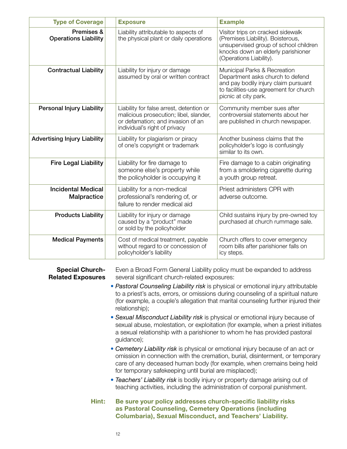| <b>Type of Coverage</b>                   | <b>Exposure</b>                                                                                                                                          | <b>Example</b>                                                                                                                                                                   |
|-------------------------------------------|----------------------------------------------------------------------------------------------------------------------------------------------------------|----------------------------------------------------------------------------------------------------------------------------------------------------------------------------------|
| Premises &<br><b>Operations Liability</b> | Liability attributable to aspects of<br>the physical plant or daily operations                                                                           | Visitor trips on cracked sidewalk<br>(Premises Liability). Boisterous,<br>unsupervised group of school children<br>knocks down an elderly parishioner<br>(Operations Liability). |
| <b>Contractual Liability</b>              | Liability for injury or damage<br>assumed by oral or written contract                                                                                    | Municipal Parks & Recreation<br>Department asks church to defend<br>and pay bodily injury claim pursuant<br>to facilities-use agreement for church<br>picnic at city park.       |
| <b>Personal Injury Liability</b>          | Liability for false arrest, detention or<br>malicious prosecution; libel, slander,<br>or defamation; and invasion of an<br>individual's right of privacy | Community member sues after<br>controversial statements about her<br>are published in church newspaper.                                                                          |
| <b>Advertising Injury Liability</b>       | Liability for plagiarism or piracy<br>of one's copyright or trademark                                                                                    | Another business claims that the<br>policyholder's logo is confusingly<br>similar to its own.                                                                                    |
| <b>Fire Legal Liability</b>               | Liability for fire damage to<br>someone else's property while<br>the policyholder is occupying it                                                        | Fire damage to a cabin originating<br>from a smoldering cigarette during<br>a youth group retreat.                                                                               |
| <b>Incidental Medical</b><br>Malpractice  | Liability for a non-medical<br>professional's rendering of, or<br>failure to render medical aid                                                          | Priest administers CPR with<br>adverse outcome.                                                                                                                                  |
| <b>Products Liability</b>                 | Liability for injury or damage<br>caused by a "product" made<br>or sold by the policyholder                                                              | Child sustains injury by pre-owned toy<br>purchased at church rummage sale.                                                                                                      |
| <b>Medical Payments</b>                   | Cost of medical treatment, payable<br>without regard to or concession of<br>policyholder's liability                                                     | Church offers to cover emergency<br>room bills after parishioner falls on<br>icy steps.                                                                                          |

**Special Church-** Even a Broad Form General Liability policy must be expanded to address **Related Exposures** several significant church-related exposures:

- *Pastoral Counseling Liability risk* is physical or emotional injury attributable to a priest's acts, errors, or omissions during counseling of a spiritual nature (for example, a couple's allegation that marital counseling further injured their relationship);
- *Sexual Misconduct Liability risk* is physical or emotional injury because of sexual abuse, molestation, or exploitation (for example, when a priest initiates a sexual relationship with a parishioner to whom he has provided pastoral guidance);
- *Cemetery Liability risk* is physical or emotional injury because of an act or omission in connection with the cremation, burial, disinterment, or temporary care of any deceased human body (for example, when cremains being held for temporary safekeeping until burial are misplaced);
- *Teachers' Liability risk* is bodily injury or property damage arising out of teaching activities, including the administration of corporal punishment.
- **Hint: Be sure your policy addresses church-specific liability risks as Pastoral Counseling, Cemetery Operations (including Columbaria), Sexual Misconduct, and Teachers' Liability.**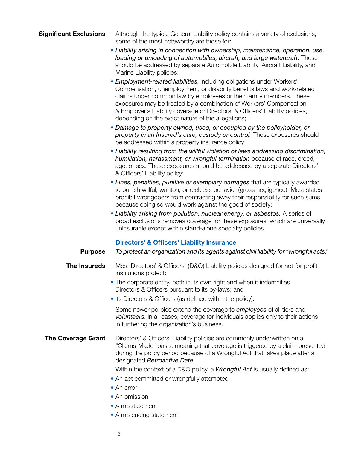## **Significant Exclusions** Although the typical General Liability policy contains a variety of exclusions, some of the most noteworthy are those for:

- *Liability arising in connection with ownership, maintenance, operation, use, loading or unloading of automobiles, aircraft, and large watercraft.* These should be addressed by separate Automobile Liability, Aircraft Liability, and Marine Liability policies;
- *Employment-related liabilities*, including obligations under Workers' Compensation, unemployment, or disability benefits laws and work-related claims under common law by employees or their family members. These exposures may be treated by a combination of Workers' Compensation & Employer's Liability coverage or Directors' & Officers' Liability policies, depending on the exact nature of the allegations;
- *Damage to property owned, used, or occupied by the policyholder, or*  property in an Insured's care, custody or control. These exposures should be addressed within a property insurance policy;
- *Liability resulting from the willful violation of laws addressing discrimination, humiliation, harassment, or wrongful termination* because of race, creed, age, or sex. These exposures should be addressed by a separate Directors' & Officers' Liability policy;
- *Fines, penalties, punitive or exemplary damages* that are typically awarded to punish willful, wanton, or reckless behavior (gross negligence). Most states prohibit wrongdoers from contracting away their responsibility for such sums because doing so would work against the good of society;
- *Liability arising from pollution, nuclear energy, or asbestos.* A series of broad exclusions removes coverage for these exposures, which are universally uninsurable except within stand-alone specialty policies.

## **Directors' & Officers' Liability Insurance**

## **Purpose** *To protect an organization and its agents against civil liability for "wrongful acts."* **The Insureds** Most Directors' & Officers' (D&O) Liability policies designed for not-for-profit institutions protect:

- The corporate entity, both in its own right and when it indemnifies Directors & Officers pursuant to its by-laws; and
- Its Directors & Officers (as defined within the policy).

Some newer policies extend the coverage to *employees* of all tiers and *volunteers*. In all cases, coverage for individuals applies only to their actions in furthering the organization's business.

## **The Coverage Grant** Directors' & Officers' Liability policies are commonly underwritten on a "Claims-Made" basis, meaning that coverage is triggered by a claim presented during the policy period because of a Wrongful Act that takes place after a designated *Retroactive Date*.

Within the context of a D&O policy, a *Wrongful Act* is usually defined as:

- An act committed or wrongfully attempted
- An error
- An omission
- A misstatement
- A misleading statement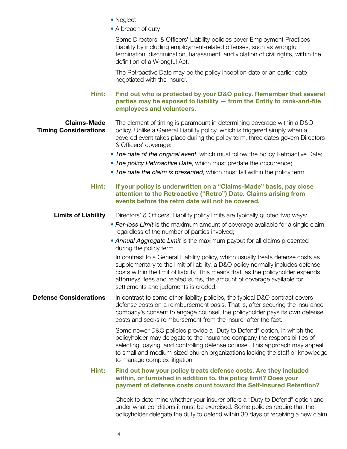- Neglect
- A breach of duty

Some Directors' & Officers' Liability policies cover Employment Practices Liability by including employment-related offenses, such as wrongful termination, discrimination, harassment, and violation of civil rights, within the definition of a Wrongful Act.

The Retroactive Date may be the policy inception date or an earlier date negotiated with the insurer.

**Hint: Find out who is protected by your D&O policy. Remember that several parties may be exposed to liability — from the Entity to rank-and-file employees and volunteers.**

**Claims-Made** The element of timing is paramount in determining coverage within a D&O **Timing Considerations** policy. Unlike a General Liability policy, which is triggered simply when a covered event takes place during the policy term, three dates govern Directors & Officers' coverage:

- *The date of the original event*, which must follow the policy Retroactive Date;
- *The policy Retroactive Date*, which must predate the occurrence;
- *The date the claim is presented*, which must fall within the policy term.

## **Hint: If your policy is underwritten on a "Claims-Made" basis, pay close attention to the Retroactive ("Retro") Date. Claims arising from events before the retro date will not be covered.**

## **Limits of Liability** Directors' & Officers' Liability policy limits are typically quoted two ways:

- *Per-loss Limit* is the maximum amount of coverage available for a single claim, regardless of the number of parties involved;
- *Annual Aggregate Limit* is the maximum payout for all claims presented during the policy term.

In contrast to a General Liability policy, which usually treats defense costs as supplementary to the limit of liability, a D&O policy normally includes defense costs within the limit of liability. This means that, as the policyholder expends attorneys' fees and related sums, the amount of coverage available for settlements and judgments is eroded.

**Defense Considerations** In contrast to some other liability policies, the typical D&O contract covers defense costs on a reimbursement basis. That is, after securing the insurance company's consent to engage counsel, the policyholder pays its own defense costs and seeks reimbursement from the insurer after the fact.

> Some newer D&O policies provide a "Duty to Defend" option, in which the policyholder may delegate to the insurance company the responsibilities of selecting, paying, and controlling defense counsel. This approach may appeal to small and medium-sized church organizations lacking the staff or knowledge to manage complex litigation.

## **Hint: Find out how your policy treats defense costs. Are they included within, or furnished in addition to, the policy limit? Does your payment of defense costs count toward the Self-Insured Retention?**

Check to determine whether your insurer offers a "Duty to Defend" option and under what conditions it must be exercised. Some policies require that the policyholder delegate the duty to defend within 30 days of receiving a new claim.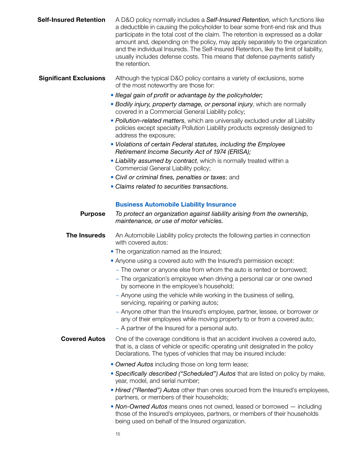| <b>Self-Insured Retention</b> | A D&O policy normally includes a Self-Insured Retention, which functions like<br>a deductible in causing the policyholder to bear some front-end risk and thus<br>participate in the total cost of the claim. The retention is expressed as a dollar<br>amount and, depending on the policy, may apply separately to the organization<br>and the individual Insureds. The Self-Insured Retention, like the limit of liability,<br>usually includes defense costs. This means that defense payments satisfy<br>the retention. |
|-------------------------------|------------------------------------------------------------------------------------------------------------------------------------------------------------------------------------------------------------------------------------------------------------------------------------------------------------------------------------------------------------------------------------------------------------------------------------------------------------------------------------------------------------------------------|
| <b>Significant Exclusions</b> | Although the typical D&O policy contains a variety of exclusions, some<br>of the most noteworthy are those for:                                                                                                                                                                                                                                                                                                                                                                                                              |

- *Illegal gain of profit or advantage by the policyholder;*
- *Bodily injury, property damage, or personal injury*, which are normally covered in a Commercial General Liability policy;
- *Pollution-related matters*, which are universally excluded under all Liability policies except specialty Pollution Liability products expressly designed to address the exposure;
- *Violations of certain Federal statutes, including the Employee Retirement Income Security Act of 1974 (ERISA);*
- *Liability assumed by contract*, which is normally treated within a Commercial General Liability policy;
- *Civil or criminal fines, penalties or taxes*; and
- *Claims related to securities transactions.*

## **Business Automobile Liability Insurance**

**Purpose** *To protect an organization against liability arising from the ownership, maintenance, or use of motor vehicles.*

**The Insureds** An Automobile Liability policy protects the following parties in connection with covered autos:

- The organization named as the Insured;
- Anyone using a covered auto with the Insured's permission except:
	- $\sim$  The owner or anyone else from whom the auto is rented or borrowed;
	- $\sim$  The organization's employee when driving a personal car or one owned by someone in the employee's household;
	- $\sim$  Anyone using the vehicle while working in the business of selling, servicing, repairing or parking autos;
	- ~ Anyone other than the Insured's employee, partner, lessee, or borrower or any of their employees while moving property to or from a covered auto;
	- ~ A partner of the Insured for a personal auto.
- **Covered Autos** One of the coverage conditions is that an accident involves a covered auto, that is, a class of vehicle or specific operating unit designated in the policy Declarations. The types of vehicles that may be insured include:
	- *Owned Autos* including those on long term lease;
	- *Specifically described ("Scheduled") Autos* that are listed on policy by make, year, model, and serial number;
	- *Hired ("Rented") Autos* other than ones sourced from the Insured's employees, partners, or members of their households;
	- *Non-Owned Autos* means ones not owned, leased or borrowed including those of the Insured's employees, partners, or members of their households being used on behalf of the Insured organization.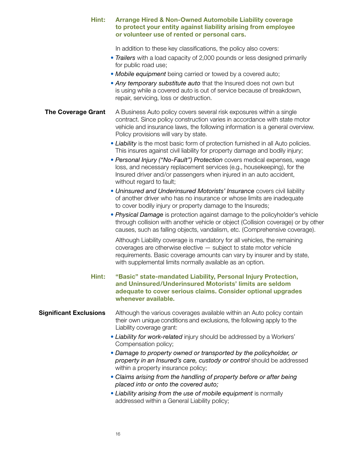| Hint:                         | <b>Arrange Hired &amp; Non-Owned Automobile Liability coverage</b><br>to protect your entity against liability arising from employee<br>or volunteer use of rented or personal cars.                                                                                                 |
|-------------------------------|--------------------------------------------------------------------------------------------------------------------------------------------------------------------------------------------------------------------------------------------------------------------------------------|
|                               | In addition to these key classifications, the policy also covers:<br>• Trailers with a load capacity of 2,000 pounds or less designed primarily<br>for public road use;                                                                                                              |
|                               | • Mobile equipment being carried or towed by a covered auto;<br>• Any temporary substitute auto that the Insured does not own but<br>is using while a covered auto is out of service because of breakdown,<br>repair, servicing, loss or destruction.                                |
| <b>The Coverage Grant</b>     | A Business Auto policy covers several risk exposures within a single<br>contract. Since policy construction varies in accordance with state motor<br>vehicle and insurance laws, the following information is a general overview.<br>Policy provisions will vary by state.           |
|                               | • Liability is the most basic form of protection furnished in all Auto policies.<br>This insures against civil liability for property damage and bodily injury;                                                                                                                      |
|                               | • Personal Injury ("No-Fault") Protection covers medical expenses, wage<br>loss, and necessary replacement services (e.g., housekeeping), for the<br>Insured driver and/or passengers when injured in an auto accident,<br>without regard to fault;                                  |
|                               | • Uninsured and Underinsured Motorists' Insurance covers civil liability<br>of another driver who has no insurance or whose limits are inadequate<br>to cover bodily injury or property damage to the Insureds;                                                                      |
|                               | • Physical Damage is protection against damage to the policyholder's vehicle<br>through collision with another vehicle or object (Collision coverage) or by other<br>causes, such as falling objects, vandalism, etc. (Comprehensive coverage).                                      |
|                               | Although Liability coverage is mandatory for all vehicles, the remaining<br>coverages are otherwise elective - subject to state motor vehicle<br>requirements. Basic coverage amounts can vary by insurer and by state,<br>with supplemental limits normally available as an option. |
| Hint:                         | "Basic" state-mandated Liability, Personal Injury Protection,<br>and Uninsured/Underinsured Motorists' limits are seldom<br>adequate to cover serious claims. Consider optional upgrades<br>whenever available.                                                                      |
| <b>Significant Exclusions</b> | Although the various coverages available within an Auto policy contain<br>their own unique conditions and exclusions, the following apply to the<br>Liability coverage grant:                                                                                                        |
|                               | • Liability for work-related injury should be addressed by a Workers'<br>Compensation policy;                                                                                                                                                                                        |
|                               | • Damage to property owned or transported by the policyholder, or<br>property in an Insured's care, custody or control should be addressed<br>within a property insurance policy;                                                                                                    |
|                               | • Claims arising from the handling of property before or after being<br>placed into or onto the covered auto;                                                                                                                                                                        |
|                               | • Liability arising from the use of mobile equipment is normally<br>addressed within a General Liability policy;                                                                                                                                                                     |
|                               |                                                                                                                                                                                                                                                                                      |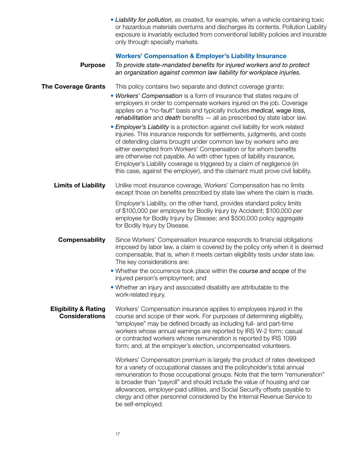|                                                          | • Liability for pollution, as created, for example, when a vehicle containing toxic<br>or hazardous materials overturns and discharges its contents. Pollution Liability<br>exposure is invariably excluded from conventional liability policies and insurable<br>only through specialty markets.                                                                                                                                                                                                                                       |
|----------------------------------------------------------|-----------------------------------------------------------------------------------------------------------------------------------------------------------------------------------------------------------------------------------------------------------------------------------------------------------------------------------------------------------------------------------------------------------------------------------------------------------------------------------------------------------------------------------------|
|                                                          | <b>Workers' Compensation &amp; Employer's Liability Insurance</b>                                                                                                                                                                                                                                                                                                                                                                                                                                                                       |
| <b>Purpose</b>                                           | To provide state-mandated benefits for injured workers and to protect<br>an organization against common law liability for workplace injuries.                                                                                                                                                                                                                                                                                                                                                                                           |
| <b>The Coverage Grants</b>                               | This policy contains two separate and distinct coverage grants:                                                                                                                                                                                                                                                                                                                                                                                                                                                                         |
|                                                          | • Workers' Compensation is a form of insurance that states require of<br>employers in order to compensate workers injured on the job. Coverage<br>applies on a "no-fault" basis and typically includes medical, wage loss,<br>rehabilitation and death benefits - all as prescribed by state labor law.                                                                                                                                                                                                                                 |
|                                                          | • Employer's Liability is a protection against civil liability for work related<br>injuries. This insurance responds for settlements, judgments, and costs<br>of defending claims brought under common law by workers who are<br>either exempted from Workers' Compensation or for whom benefits<br>are otherwise not payable. As with other types of liability insurance,<br>Employer's Liability coverage is triggered by a claim of negligence (in<br>this case, against the employer), and the claimant must prove civil liability. |
| <b>Limits of Liability</b>                               | Unlike most insurance coverage, Workers' Compensation has no limits<br>except those on benefits prescribed by state law where the claim is made.                                                                                                                                                                                                                                                                                                                                                                                        |
|                                                          | Employer's Liability, on the other hand, provides standard policy limits<br>of \$100,000 per employee for Bodily Injury by Accident; \$100,000 per<br>employee for Bodily Injury by Disease; and \$500,000 policy aggregate<br>for Bodily Injury by Disease.                                                                                                                                                                                                                                                                            |
| <b>Compensability</b>                                    | Since Workers' Compensation insurance responds to financial obligations<br>imposed by labor law, a claim is covered by the policy only when it is deemed<br>compensable, that is, when it meets certain eligibility tests under state law.<br>The key considerations are:                                                                                                                                                                                                                                                               |
|                                                          | • Whether the occurrence took place within the course and scope of the<br>injured person's employment; and                                                                                                                                                                                                                                                                                                                                                                                                                              |
|                                                          | . Whether an injury and associated disability are attributable to the<br>work-related injury.                                                                                                                                                                                                                                                                                                                                                                                                                                           |
| <b>Eligibility &amp; Rating</b><br><b>Considerations</b> | Workers' Compensation insurance applies to employees injured in the<br>course and scope of their work. For purposes of determining eligibility,<br>"employee" may be defined broadly as including full- and part-time<br>workers whose annual earnings are reported by IRS W-2 form; casual<br>or contracted workers whose remuneration is reported by IRS 1099<br>form; and, at the employer's election, uncompensated volunteers.                                                                                                     |
|                                                          | Workers' Compensation premium is largely the product of rates developed<br>for a variety of occupational classes and the policyholder's total annual<br>remuneration to those occupational groups. Note that the term "remuneration"<br>is broader than "payroll" and should include the value of housing and car<br>allowances, employer-paid utilities, and Social Security offsets payable to<br>clergy and other personnel considered by the Internal Revenue Service to<br>be self-employed.                                       |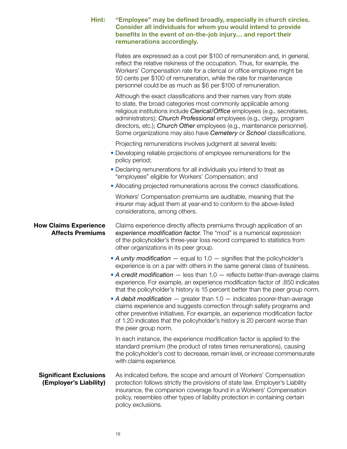| Hint:                                                   | "Employee" may be defined broadly, especially in church circles.<br>Consider all individuals for whom you would intend to provide<br>benefits in the event of on-the-job injury and report their<br>remunerations accordingly.                                                                                                                                                                                                                                                                                                                                                                                                                                                                                                                                    |
|---------------------------------------------------------|-------------------------------------------------------------------------------------------------------------------------------------------------------------------------------------------------------------------------------------------------------------------------------------------------------------------------------------------------------------------------------------------------------------------------------------------------------------------------------------------------------------------------------------------------------------------------------------------------------------------------------------------------------------------------------------------------------------------------------------------------------------------|
|                                                         | Rates are expressed as a cost per \$100 of remuneration and, in general,<br>reflect the relative riskiness of the occupation. Thus, for example, the<br>Workers' Compensation rate for a clerical or office employee might be<br>50 cents per \$100 of remuneration, while the rate for maintenance<br>personnel could be as much as \$6 per \$100 of remuneration.                                                                                                                                                                                                                                                                                                                                                                                               |
|                                                         | Although the exact classifications and their names vary from state<br>to state, the broad categories most commonly applicable among<br>religious institutions include Clerical/Office employees (e.g., secretaries,<br>administrators); Church Professional employees (e.g., clergy, program<br>directors, etc.); Church Other employees (e.g., maintenance personnel).<br>Some organizations may also have Cemetery or School classifications.                                                                                                                                                                                                                                                                                                                   |
|                                                         | Projecting remunerations involves judgment at several levels:                                                                                                                                                                                                                                                                                                                                                                                                                                                                                                                                                                                                                                                                                                     |
|                                                         | • Developing reliable projections of employee remunerations for the<br>policy period;                                                                                                                                                                                                                                                                                                                                                                                                                                                                                                                                                                                                                                                                             |
|                                                         | • Declaring remunerations for all individuals you intend to treat as<br>"employees" eligible for Workers' Compensation; and                                                                                                                                                                                                                                                                                                                                                                                                                                                                                                                                                                                                                                       |
|                                                         | • Allocating projected remunerations across the correct classifications.                                                                                                                                                                                                                                                                                                                                                                                                                                                                                                                                                                                                                                                                                          |
|                                                         | Workers' Compensation premiums are auditable, meaning that the<br>insurer may adjust them at year-end to conform to the above-listed<br>considerations, among others.                                                                                                                                                                                                                                                                                                                                                                                                                                                                                                                                                                                             |
| <b>How Claims Experience</b><br><b>Affects Premiums</b> | Claims experience directly affects premiums through application of an<br>experience modification factor. The "mod" is a numerical expression<br>of the policyholder's three-year loss record compared to statistics from<br>other organizations in its peer group.                                                                                                                                                                                                                                                                                                                                                                                                                                                                                                |
|                                                         | • A unity modification $-$ equal to 1.0 $-$ signifies that the policyholder's<br>experience is on a par with others in the same general class of business.<br>• A credit modification $-$ less than 1.0 $-$ reflects better-than-average claims<br>experience. For example, an experience modification factor of .850 indicates<br>that the policyholder's history is 15 percent better than the peer group norm.<br>• A debit modification $-$ greater than 1.0 $-$ indicates poorer-than-average<br>claims experience and suggests correction through safety programs and<br>other preventive initiatives. For example, an experience modification factor<br>of 1.20 indicates that the policyholder's history is 20 percent worse than<br>the peer group norm. |
|                                                         | In each instance, the experience modification factor is applied to the<br>standard premium (the product of rates times remunerations), causing<br>the policyholder's cost to decrease, remain level, or increase commensurate<br>with claims experience.                                                                                                                                                                                                                                                                                                                                                                                                                                                                                                          |
| <b>Significant Exclusions</b><br>(Employer's Liability) | As indicated before, the scope and amount of Workers' Compensation<br>protection follows strictly the provisions of state law. Employer's Liability<br>insurance, the companion coverage found in a Workers' Compensation<br>policy, resembles other types of liability protection in containing certain<br>policy exclusions.                                                                                                                                                                                                                                                                                                                                                                                                                                    |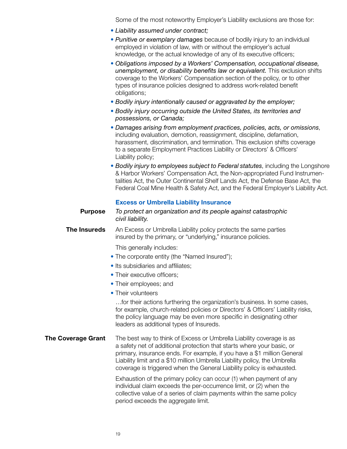Some of the most noteworthy Employer's Liability exclusions are those for:

- *Liability assumed under contract;*
- *Punitive or exemplary damages* because of bodily injury to an individual employed in violation of law, with or without the employer's actual knowledge, or the actual knowledge of any of its executive officers;
- *Obligations imposed by a Workers' Compensation, occupational disease, unemployment, or disability benefits law or equivalent.* This exclusion shifts coverage to the Workers' Compensation section of the policy, or to other types of insurance policies designed to address work-related benefit obligations;
- *Bodily injury intentionally caused or aggravated by the employer;*
- *Bodily injury occurring outside the United States, its territories and possessions, or Canada;*
- *Damages arising from employment practices, policies, acts, or omissions*, including evaluation, demotion, reassignment, discipline, defamation, harassment, discrimination, and termination. This exclusion shifts coverage to a separate Employment Practices Liability or Directors' & Officers' Liability policy;
- *Bodily injury to employees subject to Federal statutes*, including the Longshore & Harbor Workers' Compensation Act, the Non-appropriated Fund Instrumentalities Act, the Outer Continental Shelf Lands Act, the Defense Base Act, the Federal Coal Mine Health & Safety Act, and the Federal Employer's Liability Act.

## **Excess or Umbrella Liability Insurance**

**Purpose** *To protect an organization and its people against catastrophic civil liability.*

**The Insureds** An Excess or Umbrella Liability policy protects the same parties insured by the primary, or "underlying," insurance policies.

This generally includes:

- The corporate entity (the "Named Insured");
- Its subsidiaries and affiliates:
- Their executive officers;
- Their employees; and
- Their volunteers

…for their actions furthering the organization's business. In some cases, for example, church-related policies or Directors' & Officers' Liability risks, the policy language may be even more specific in designating other leaders as additional types of Insureds.

**The Coverage Grant** The best way to think of Excess or Umbrella Liability coverage is as a safety net of additional protection that starts where your basic, or primary, insurance ends. For example, if you have a \$1 million General Liability limit and a \$10 million Umbrella Liability policy, the Umbrella coverage is triggered when the General Liability policy is exhausted.

> Exhaustion of the primary policy can occur (1) when payment of any individual claim exceeds the per-occurrence limit, or (2) when the collective value of a series of claim payments within the same policy period exceeds the aggregate limit.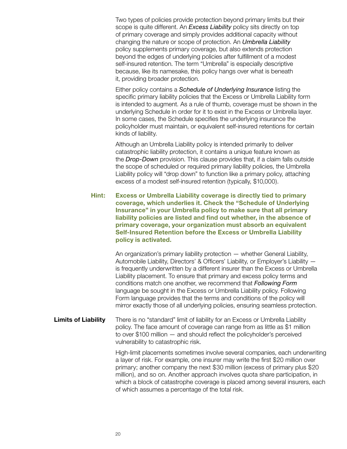Two types of policies provide protection beyond primary limits but their scope is quite different. An *Excess Liability* policy sits directly on top of primary coverage and simply provides additional capacity without changing the nature or scope of protection. An *Umbrella Liability* policy supplements primary coverage, but also extends protection beyond the edges of underlying policies after fulfillment of a modest self-insured retention. The term "Umbrella" is especially descriptive because, like its namesake, this policy hangs over what is beneath it, providing broader protection.

Either policy contains a *Schedule of Underlying Insurance* listing the specific primary liability policies that the Excess or Umbrella Liability form is intended to augment. As a rule of thumb, coverage must be shown in the underlying Schedule in order for it to exist in the Excess or Umbrella layer. In some cases, the Schedule specifies the underlying insurance the policyholder must maintain, or equivalent self-insured retentions for certain kinds of liability.

Although an Umbrella Liability policy is intended primarily to deliver catastrophic liability protection, it contains a unique feature known as the *Drop-Down* provision. This clause provides that, if a claim falls outside the scope of scheduled or required primary liability policies, the Umbrella Liability policy will "drop down" to function like a primary policy, attaching excess of a modest self-insured retention (typically, \$10,000).

**Hint: Excess or Umbrella Liability coverage is directly tied to primary coverage, which underlies it. Check the "Schedule of Underlying Insurance" in your Umbrella policy to make sure that all primary liability policies are listed and find out whether, in the absence of primary coverage, your organization must absorb an equivalent Self-Insured Retention before the Excess or Umbrella Liability policy is activated.**

> An organization's primary liability protection — whether General Liability, Automobile Liability, Directors' & Officers' Liability, or Employer's Liability is frequently underwritten by a different insurer than the Excess or Umbrella Liability placement. To ensure that primary and excess policy terms and conditions match one another, we recommend that *Following Form* language be sought in the Excess or Umbrella Liability policy. Following Form language provides that the terms and conditions of the policy will mirror exactly those of all underlying policies, ensuring seamless protection.

**Limits of Liability** There is no "standard" limit of liability for an Excess or Umbrella Liability policy. The face amount of coverage can range from as little as \$1 million to over \$100 million — and should reflect the policyholder's perceived vulnerability to catastrophic risk.

> High-limit placements sometimes involve several companies, each underwriting a layer of risk. For example, one insurer may write the first \$20 million over primary; another company the next \$30 million (excess of primary plus \$20 million), and so on. Another approach involves quota share participation, in which a block of catastrophe coverage is placed among several insurers, each of which assumes a percentage of the total risk.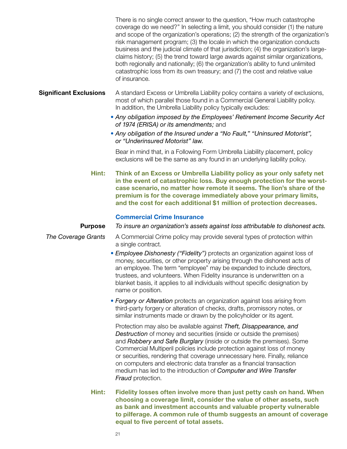There is no single correct answer to the question, "How much catastrophe coverage do we need?" In selecting a limit, you should consider (1) the nature and scope of the organization's operations; (2) the strength of the organization's risk management program; (3) the locale in which the organization conducts business and the judicial climate of that jurisdiction; (4) the organization's largeclaims history; (5) the trend toward large awards against similar organizations, both regionally and nationally; (6) the organization's ability to fund unlimited catastrophic loss from its own treasury; and (7) the cost and relative value of insurance.

**Significant Exclusions** A standard Excess or Umbrella Liability policy contains a variety of exclusions, most of which parallel those found in a Commercial General Liability policy. In addition, the Umbrella Liability policy typically excludes:

- *Any obligation imposed by the Employees' Retirement Income Security Act of 1974 (ERISA) or its amendments;* and
- *Any obligation of the Insured under a "No Fault," "Uninsured Motorist", or "Underinsured Motorist" law.*

Bear in mind that, in a Following Form Umbrella Liability placement, policy exclusions will be the same as any found in an underlying liability policy.

**Hint: Think of an Excess or Umbrella Liability policy as your only safety net in the event of catastrophic loss. Buy enough protection for the worstcase scenario, no matter how remote it seems. The lion's share of the premium is for the coverage immediately above your primary limits, and the cost for each additional \$1 million of protection decreases.**

## **Commercial Crime Insurance**

## **Purpose** *To insure an organization's assets against loss attributable to dishonest acts.*

**The Coverage Grants** A Commercial Crime policy may provide several types of protection within a single contract.

- *Employee Dishonesty ("Fidelity")* protects an organization against loss of money, securities, or other property arising through the dishonest acts of an employee. The term "employee" may be expanded to include directors, trustees, and volunteers. When Fidelity insurance is underwritten on a blanket basis, it applies to all individuals without specific designation by name or position.
- *Forgery or Alteration* protects an organization against loss arising from third-party forgery or alteration of checks, drafts, promissory notes, or similar instruments made or drawn by the policyholder or its agent.

Protection may also be available against *Theft, Disappearance, and Destruction* of money and securities (inside or outside the premises) and *Robbery and Safe Burglary* (inside or outside the premises). Some Commercial Multiperil policies include protection against loss of money or securities, rendering that coverage unnecessary here. Finally, reliance on computers and electronic data transfer as a financial transaction medium has led to the introduction of *Computer and Wire Transfer Fraud* protection.

**Hint: Fidelity losses often involve more than just petty cash on hand. When choosing a coverage limit, consider the value of other assets, such as bank and investment accounts and valuable property vulnerable to pilferage. A common rule of thumb suggests an amount of coverage equal to five percent of total assets.**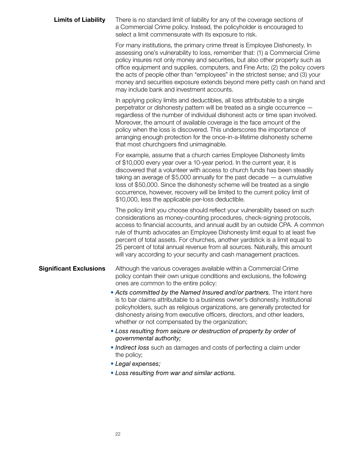**Limits of Liability** There is no standard limit of liability for any of the coverage sections of a Commercial Crime policy. Instead, the policyholder is encouraged to select a limit commensurate with its exposure to risk.

> For many institutions, the primary crime threat is Employee Dishonesty. In assessing one's vulnerability to loss, remember that: (1) a Commercial Crime policy insures not only money and securities, but also other property such as office equipment and supplies, computers, and Fine Arts; (2) the policy covers the acts of people other than "employees" in the strictest sense; and (3) your money and securities exposure extends beyond mere petty cash on hand and may include bank and investment accounts.

In applying policy limits and deductibles, all loss attributable to a single perpetrator or dishonesty pattern will be treated as a single occurrence regardless of the number of individual dishonest acts or time span involved. Moreover, the amount of available coverage is the face amount of the policy when the loss is discovered. This underscores the importance of arranging enough protection for the once-in-a-lifetime dishonesty scheme that most churchgoers find unimaginable.

For example, assume that a church carries Employee Dishonesty limits of \$10,000 every year over a 10-year period. In the current year, it is discovered that a volunteer with access to church funds has been steadily taking an average of \$5,000 annually for the past decade — a cumulative loss of \$50,000. Since the dishonesty scheme will be treated as a single occurrence, however, recovery will be limited to the current policy limit of \$10,000, less the applicable per-loss deductible.

The policy limit you choose should reflect your vulnerability based on such considerations as money-counting procedures, check-signing protocols, access to financial accounts, and annual audit by an outside CPA. A common rule of thumb advocates an Employee Dishonesty limit equal to at least five percent of total assets. For churches, another yardstick is a limit equal to 25 percent of total annual revenue from all sources. Naturally, this amount will vary according to your security and cash management practices.

## **Significant Exclusions** Although the various coverages available within a Commercial Crime policy contain their own unique conditions and exclusions, the following ones are common to the entire policy:

- *Acts committed by the Named Insured and/or partners.* The intent here is to bar claims attributable to a business owner's dishonesty. Institutional policyholders, such as religious organizations, are generally protected for dishonesty arising from executive officers, directors, and other leaders, whether or not compensated by the organization;
- *Loss resulting from seizure or destruction of property by order of governmental authority;*
- *Indirect loss* such as damages and costs of perfecting a claim under the policy;
- *Legal expenses;*
- *Loss resulting from war and similar actions.*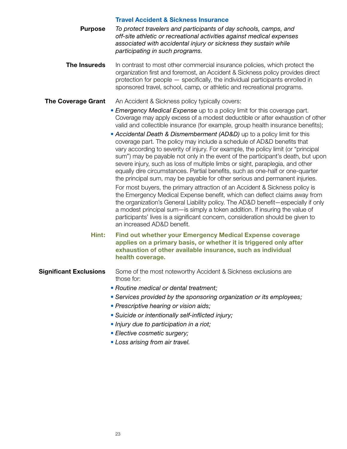### **Travel Accident & Sickness Insurance**

**Purpose** *To protect travelers and participants of day schools, camps, and off-site athletic or recreational activities against medical expenses associated with accidental injury or sickness they sustain while participating in such programs.*

**The Insureds** In contrast to most other commercial insurance policies, which protect the organization first and foremost, an Accident & Sickness policy provides direct protection for people — specifically, the individual participants enrolled in sponsored travel, school, camp, or athletic and recreational programs.

## **The Coverage Grant** An Accident & Sickness policy typically covers:

• *Emergency Medical Expense* up to a policy limit for this coverage part. Coverage may apply excess of a modest deductible or after exhaustion of other valid and collectible insurance (for example, group health insurance benefits);

**•** *Accidental Death & Dismemberment (AD&D)* up to a policy limit for this coverage part. The policy may include a schedule of AD&D benefits that vary according to severity of injury. For example, the policy limit (or "principal sum") may be payable not only in the event of the participant's death, but upon severe injury, such as loss of multiple limbs or sight, paraplegia, and other equally dire circumstances. Partial benefits, such as one-half or one-quarter the principal sum, may be payable for other serious and permanent injuries.

For most buyers, the primary attraction of an Accident & Sickness policy is the Emergency Medical Expense benefit, which can deflect claims away from the organization's General Liability policy. The AD&D benefit—especially if only a modest principal sum—is simply a token addition. If insuring the value of participants' lives is a significant concern, consideration should be given to an increased AD&D benefit.

**Hint: Find out whether your Emergency Medical Expense coverage applies on a primary basis, or whether it is triggered only after exhaustion of other available insurance, such as individual health coverage.**

## **Significant Exclusions** Some of the most noteworthy Accident & Sickness exclusions are those for:

- *Routine medical or dental treatment;*
- *Services provided by the sponsoring organization or its employees;*
- *Prescriptive hearing or vision aids;*
- *Suicide or intentionally self-inflicted injury;*
- *Injury due to participation in a riot;*
- *Elective cosmetic surgery;*
- *Loss arising from air travel.*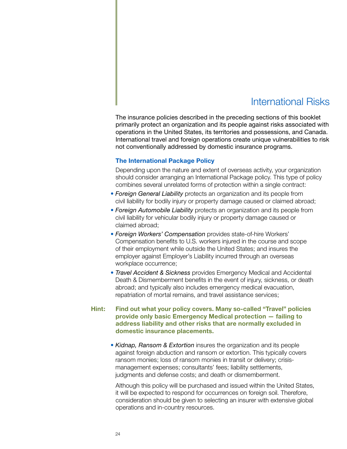## International Risks

The insurance policies described in the preceding sections of this booklet primarily protect an organization and its people against risks associated with operations in the United States, its territories and possessions, and Canada. International travel and foreign operations create unique vulnerabilities to risk not conventionally addressed by domestic insurance programs.

### **The International Package Policy**

Depending upon the nature and extent of overseas activity, your organization should consider arranging an International Package policy. This type of policy combines several unrelated forms of protection within a single contract:

- *Foreign General Liability* protects an organization and its people from civil liability for bodily injury or property damage caused or claimed abroad;
- *Foreign Automobile Liability* protects an organization and its people from civil liability for vehicular bodily injury or property damage caused or claimed abroad;
- *Foreign Workers' Compensation* provides state-of-hire Workers' Compensation benefits to U.S. workers injured in the course and scope of their employment while outside the United States; and insures the employer against Employer's Liability incurred through an overseas workplace occurrence;
- *Travel Accident & Sickness* provides Emergency Medical and Accidental Death & Dismemberment benefits in the event of injury, sickness, or death abroad; and typically also includes emergency medical evacuation, repatriation of mortal remains, and travel assistance services;

## **Hint: Find out what your policy covers. Many so-called "Travel" policies provide only basic Emergency Medical protection — failing to address liability and other risks that are normally excluded in domestic insurance placements.**

• *Kidnap, Ransom & Extortion* insures the organization and its people against foreign abduction and ransom or extortion. This typically covers ransom monies; loss of ransom monies in transit or delivery; crisismanagement expenses; consultants' fees; liability settlements, judgments and defense costs; and death or dismemberment.

Although this policy will be purchased and issued within the United States, it will be expected to respond for occurrences on foreign soil. Therefore, consideration should be given to selecting an insurer with extensive global operations and in-country resources.